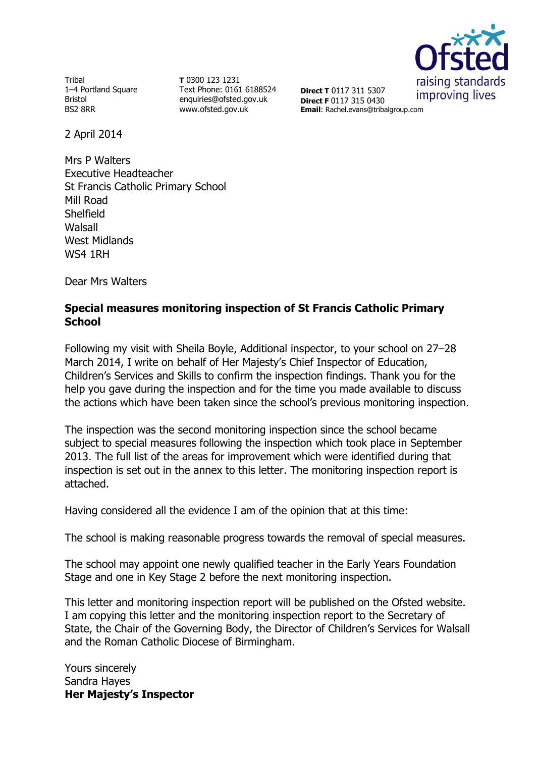

Tribal 1–4 Portland Square Bristol BS2 8RR

**T** 0300 123 1231 Text Phone: 0161 6188524 enquiries@ofsted.gov.uk www.ofsted.gov.uk

**Direct T** 0117 311 5307 **Direct F** 0117 315 0430 **Email**: Rachel.evans@tribalgroup.com

2 April 2014

Mrs P Walters Executive Headteacher St Francis Catholic Primary School Mill Road Shelfield Walsall West Midlands WS4 1RH

Dear Mrs Walters

#### **Special measures monitoring inspection of St Francis Catholic Primary School**

Following my visit with Sheila Boyle, Additional inspector, to your school on 27–28 March 2014, I write on behalf of Her Majesty's Chief Inspector of Education, Children's Services and Skills to confirm the inspection findings. Thank you for the help you gave during the inspection and for the time you made available to discuss the actions which have been taken since the school's previous monitoring inspection.

The inspection was the second monitoring inspection since the school became subject to special measures following the inspection which took place in September 2013. The full list of the areas for improvement which were identified during that inspection is set out in the annex to this letter. The monitoring inspection report is attached.

Having considered all the evidence I am of the opinion that at this time:

The school is making reasonable progress towards the removal of special measures.

The school may appoint one newly qualified teacher in the Early Years Foundation Stage and one in Key Stage 2 before the next monitoring inspection.

This letter and monitoring inspection report will be published on the Ofsted website. I am copying this letter and the monitoring inspection report to the Secretary of State, the Chair of the Governing Body, the Director of Children's Services for Walsall and the Roman Catholic Diocese of Birmingham.

Yours sincerely Sandra Hayes **Her Majesty's Inspector**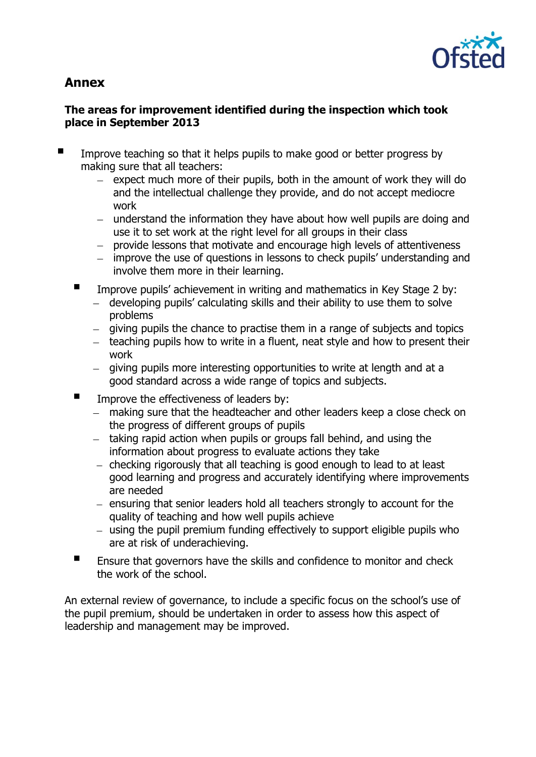

# **Annex**

## **The areas for improvement identified during the inspection which took place in September 2013**

- Improve teaching so that it helps pupils to make good or better progress by making sure that all teachers:
	- $-$  expect much more of their pupils, both in the amount of work they will do and the intellectual challenge they provide, and do not accept mediocre work
	- understand the information they have about how well pupils are doing and use it to set work at the right level for all groups in their class
	- provide lessons that motivate and encourage high levels of attentiveness
	- improve the use of questions in lessons to check pupils' understanding and involve them more in their learning.
	- **IMPROVE PUPILS' achievement in writing and mathematics in Key Stage 2 by:** 
		- developing pupils' calculating skills and their ability to use them to solve problems
		- giving pupils the chance to practise them in a range of subjects and topics
		- $-$  teaching pupils how to write in a fluent, neat style and how to present their work
		- giving pupils more interesting opportunities to write at length and at a good standard across a wide range of topics and subjects.
	- $\blacksquare$  Improve the effectiveness of leaders by:
		- making sure that the headteacher and other leaders keep a close check on the progress of different groups of pupils
		- taking rapid action when pupils or groups fall behind, and using the information about progress to evaluate actions they take
		- $-$  checking rigorously that all teaching is good enough to lead to at least good learning and progress and accurately identifying where improvements are needed
		- ensuring that senior leaders hold all teachers strongly to account for the quality of teaching and how well pupils achieve
		- using the pupil premium funding effectively to support eligible pupils who are at risk of underachieving.
	- **Ensure that governors have the skills and confidence to monitor and check** the work of the school.

An external review of governance, to include a specific focus on the school's use of the pupil premium, should be undertaken in order to assess how this aspect of leadership and management may be improved.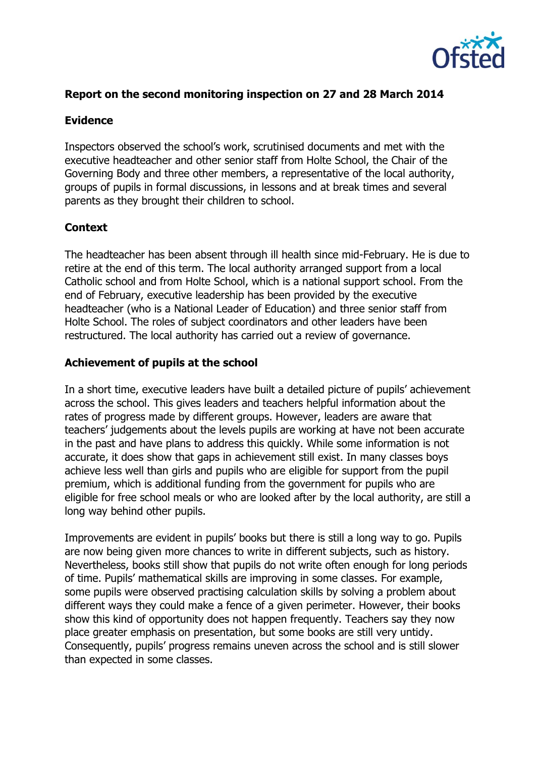

#### **Report on the second monitoring inspection on 27 and 28 March 2014**

#### **Evidence**

Inspectors observed the school's work, scrutinised documents and met with the executive headteacher and other senior staff from Holte School, the Chair of the Governing Body and three other members, a representative of the local authority, groups of pupils in formal discussions, in lessons and at break times and several parents as they brought their children to school.

#### **Context**

The headteacher has been absent through ill health since mid-February. He is due to retire at the end of this term. The local authority arranged support from a local Catholic school and from Holte School, which is a national support school. From the end of February, executive leadership has been provided by the executive headteacher (who is a National Leader of Education) and three senior staff from Holte School. The roles of subject coordinators and other leaders have been restructured. The local authority has carried out a review of governance.

#### **Achievement of pupils at the school**

In a short time, executive leaders have built a detailed picture of pupils' achievement across the school. This gives leaders and teachers helpful information about the rates of progress made by different groups. However, leaders are aware that teachers' judgements about the levels pupils are working at have not been accurate in the past and have plans to address this quickly. While some information is not accurate, it does show that gaps in achievement still exist. In many classes boys achieve less well than girls and pupils who are eligible for support from the pupil premium, which is additional funding from the government for pupils who are eligible for free school meals or who are looked after by the local authority, are still a long way behind other pupils.

Improvements are evident in pupils' books but there is still a long way to go. Pupils are now being given more chances to write in different subjects, such as history. Nevertheless, books still show that pupils do not write often enough for long periods of time. Pupils' mathematical skills are improving in some classes. For example, some pupils were observed practising calculation skills by solving a problem about different ways they could make a fence of a given perimeter. However, their books show this kind of opportunity does not happen frequently. Teachers say they now place greater emphasis on presentation, but some books are still very untidy. Consequently, pupils' progress remains uneven across the school and is still slower than expected in some classes.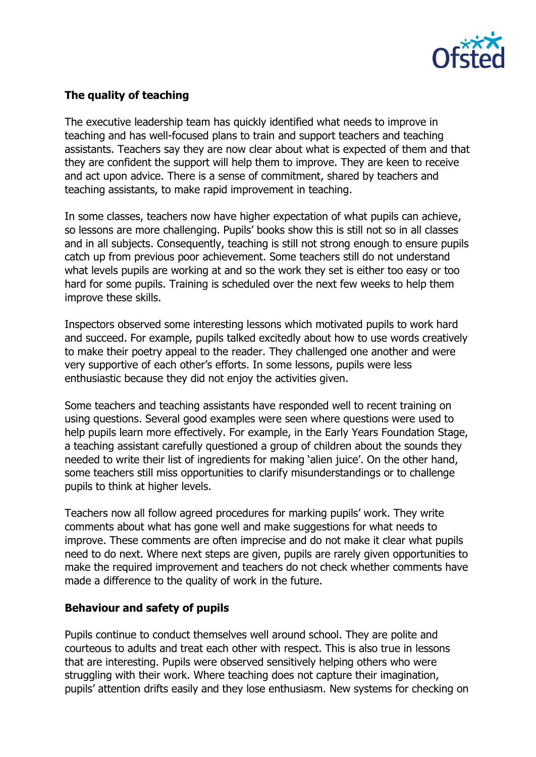

## **The quality of teaching**

The executive leadership team has quickly identified what needs to improve in teaching and has well-focused plans to train and support teachers and teaching assistants. Teachers say they are now clear about what is expected of them and that they are confident the support will help them to improve. They are keen to receive and act upon advice. There is a sense of commitment, shared by teachers and teaching assistants, to make rapid improvement in teaching.

In some classes, teachers now have higher expectation of what pupils can achieve, so lessons are more challenging. Pupils' books show this is still not so in all classes and in all subjects. Consequently, teaching is still not strong enough to ensure pupils catch up from previous poor achievement. Some teachers still do not understand what levels pupils are working at and so the work they set is either too easy or too hard for some pupils. Training is scheduled over the next few weeks to help them improve these skills.

Inspectors observed some interesting lessons which motivated pupils to work hard and succeed. For example, pupils talked excitedly about how to use words creatively to make their poetry appeal to the reader. They challenged one another and were very supportive of each other's efforts. In some lessons, pupils were less enthusiastic because they did not enjoy the activities given.

Some teachers and teaching assistants have responded well to recent training on using questions. Several good examples were seen where questions were used to help pupils learn more effectively. For example, in the Early Years Foundation Stage, a teaching assistant carefully questioned a group of children about the sounds they needed to write their list of ingredients for making 'alien juice'. On the other hand, some teachers still miss opportunities to clarify misunderstandings or to challenge pupils to think at higher levels.

Teachers now all follow agreed procedures for marking pupils' work. They write comments about what has gone well and make suggestions for what needs to improve. These comments are often imprecise and do not make it clear what pupils need to do next. Where next steps are given, pupils are rarely given opportunities to make the required improvement and teachers do not check whether comments have made a difference to the quality of work in the future.

#### **Behaviour and safety of pupils**

Pupils continue to conduct themselves well around school. They are polite and courteous to adults and treat each other with respect. This is also true in lessons that are interesting. Pupils were observed sensitively helping others who were struggling with their work. Where teaching does not capture their imagination, pupils' attention drifts easily and they lose enthusiasm. New systems for checking on